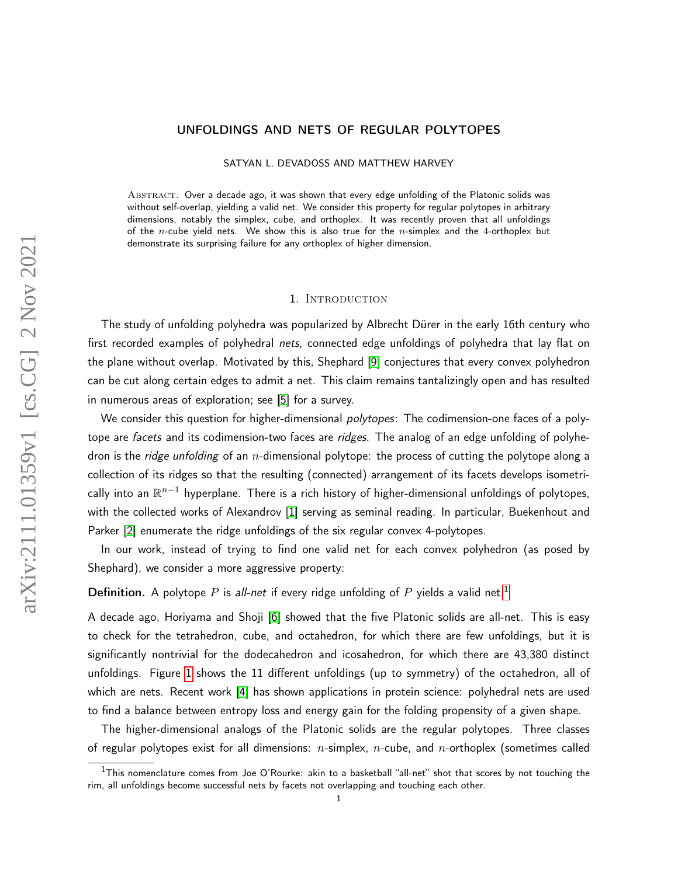# UNFOLDINGS AND NETS OF REGULAR POLYTOPES

SATYAN L. DEVADOSS AND MATTHEW HARVEY

ABSTRACT. Over a decade ago, it was shown that every edge unfolding of the Platonic solids was without self-overlap, yielding a valid net. We consider this property for regular polytopes in arbitrary dimensions, notably the simplex, cube, and orthoplex. It was recently proven that all unfoldings of the n-cube yield nets. We show this is also true for the n-simplex and the 4-orthoplex but demonstrate its surprising failure for any orthoplex of higher dimension.

## 1. INTRODUCTION

The study of unfolding polyhedra was popularized by Albrecht Dürer in the early 16th century who first recorded examples of polyhedral nets, connected edge unfoldings of polyhedra that lay flat on the plane without overlap. Motivated by this, Shephard [\[9\]](#page-11-0) conjectures that every convex polyhedron can be cut along certain edges to admit a net. This claim remains tantalizingly open and has resulted in numerous areas of exploration; see [\[5\]](#page-10-0) for a survey.

We consider this question for higher-dimensional *polytopes*: The codimension-one faces of a polytope are facets and its codimension-two faces are ridges. The analog of an edge unfolding of polyhedron is the *ridge unfolding* of an *n*-dimensional polytope: the process of cutting the polytope along a collection of its ridges so that the resulting (connected) arrangement of its facets develops isometrically into an  $\mathbb{R}^{n-1}$  hyperplane. There is a rich history of higher-dimensional unfoldings of polytopes, with the collected works of Alexandrov [\[1\]](#page-10-1) serving as seminal reading. In particular, Buekenhout and Parker [\[2\]](#page-10-2) enumerate the ridge unfoldings of the six regular convex 4-polytopes.

In our work, instead of trying to find one valid net for each convex polyhedron (as posed by Shephard), we consider a more aggressive property:

**Definition.** A polytope P is all-net if every ridge unfolding of P yields a valid net.<sup>[1](#page-0-0)</sup>

A decade ago, Horiyama and Shoji [\[6\]](#page-10-3) showed that the five Platonic solids are all-net. This is easy to check for the tetrahedron, cube, and octahedron, for which there are few unfoldings, but it is significantly nontrivial for the dodecahedron and icosahedron, for which there are 43,380 distinct unfoldings. Figure [1](#page-1-0) shows the 11 different unfoldings (up to symmetry) of the octahedron, all of which are nets. Recent work [\[4\]](#page-10-4) has shown applications in protein science: polyhedral nets are used to find a balance between entropy loss and energy gain for the folding propensity of a given shape.

The higher-dimensional analogs of the Platonic solids are the regular polytopes. Three classes of regular polytopes exist for all dimensions:  $n$ -simplex,  $n$ -cube, and  $n$ -orthoplex (sometimes called

<span id="page-0-0"></span> $1$ This nomenclature comes from Joe O'Rourke: akin to a basketball "all-net" shot that scores by not touching the rim, all unfoldings become successful nets by facets not overlapping and touching each other.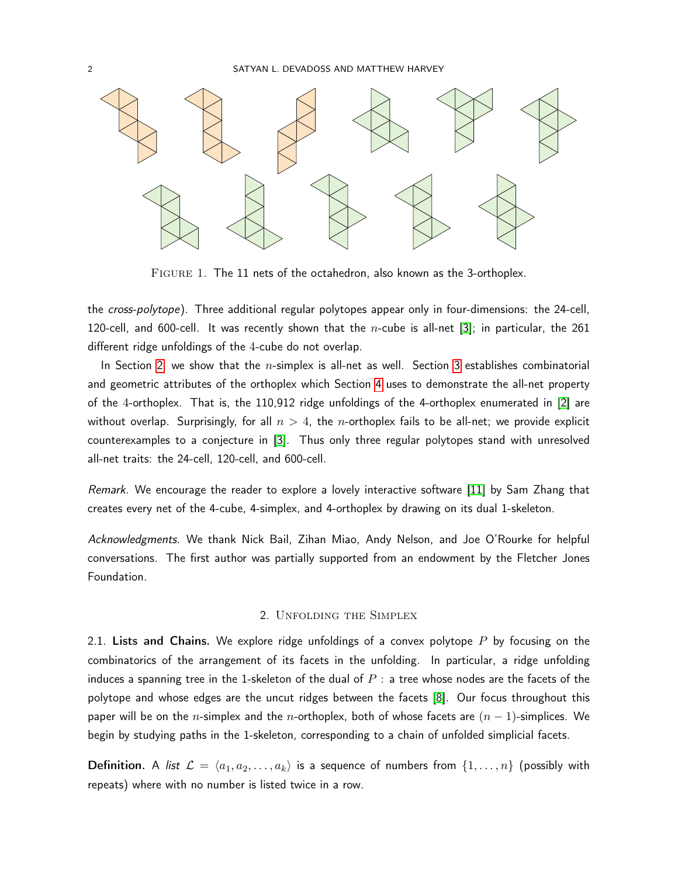

<span id="page-1-0"></span>Figure 1. The 11 nets of the octahedron, also known as the 3-orthoplex.

the cross-polytope). Three additional regular polytopes appear only in four-dimensions: the 24-cell, 120-cell, and 600-cell. It was recently shown that the *n*-cube is all-net [\[3\]](#page-10-5); in particular, the 261 different ridge unfoldings of the 4-cube do not overlap.

In Section [2,](#page-1-1) we show that the  $n$ -simplex is all-net as well. Section [3](#page-4-0) establishes combinatorial and geometric attributes of the orthoplex which Section [4](#page-6-0) uses to demonstrate the all-net property of the 4-orthoplex. That is, the 110,912 ridge unfoldings of the 4-orthoplex enumerated in [\[2\]](#page-10-2) are without overlap. Surprisingly, for all  $n > 4$ , the *n*-orthoplex fails to be all-net; we provide explicit counterexamples to a conjecture in [\[3\]](#page-10-5). Thus only three regular polytopes stand with unresolved all-net traits: the 24-cell, 120-cell, and 600-cell.

Remark. We encourage the reader to explore a lovely interactive software [\[11\]](#page-11-1) by Sam Zhang that creates every net of the 4-cube, 4-simplex, and 4-orthoplex by drawing on its dual 1-skeleton.

Acknowledgments. We thank Nick Bail, Zihan Miao, Andy Nelson, and Joe O'Rourke for helpful conversations. The first author was partially supported from an endowment by the Fletcher Jones Foundation.

### 2. Unfolding the Simplex

<span id="page-1-1"></span>2.1. Lists and Chains. We explore ridge unfoldings of a convex polytope  $P$  by focusing on the combinatorics of the arrangement of its facets in the unfolding. In particular, a ridge unfolding induces a spanning tree in the 1-skeleton of the dual of  $P$  : a tree whose nodes are the facets of the polytope and whose edges are the uncut ridges between the facets [\[8\]](#page-10-6). Our focus throughout this paper will be on the n-simplex and the n-orthoplex, both of whose facets are  $(n - 1)$ -simplices. We begin by studying paths in the 1-skeleton, corresponding to a chain of unfolded simplicial facets.

Definition. A list  $\mathcal{L} = \langle a_1, a_2, \ldots, a_k \rangle$  is a sequence of numbers from  $\{1, \ldots, n\}$  (possibly with repeats) where with no number is listed twice in a row.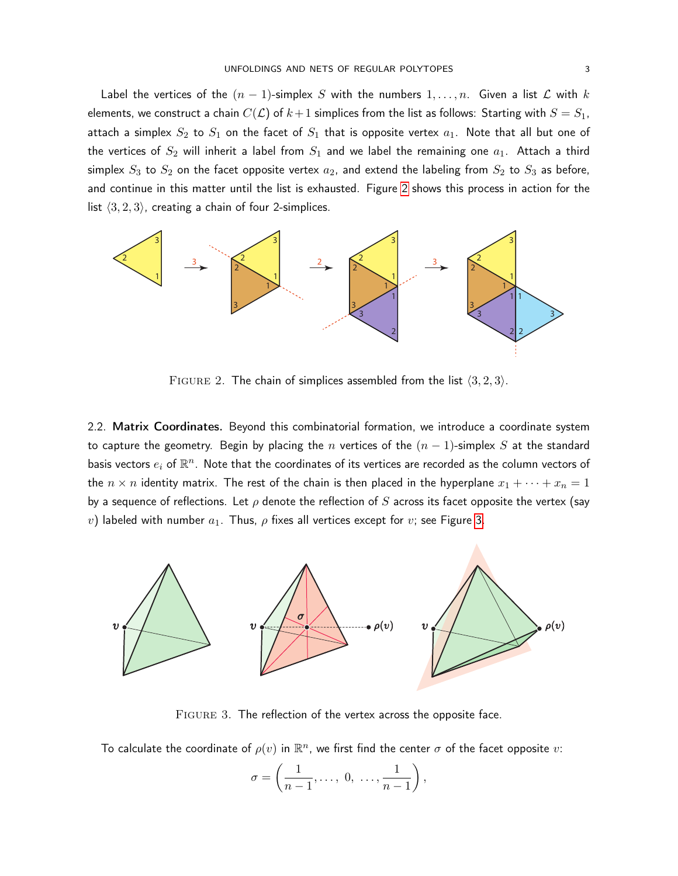Label the vertices of the  $(n - 1)$ -simplex S with the numbers  $1, \ldots, n$ . Given a list L with k elements, we construct a chain  $C(\mathcal{L})$  of  $k+1$  simplices from the list as follows: Starting with  $S=S_1,$ attach a simplex  $S_2$  to  $S_1$  on the facet of  $S_1$  that is opposite vertex  $a_1$ . Note that all but one of the vertices of  $S_2$  will inherit a label from  $S_1$  and we label the remaining one  $a_1$ . Attach a third simplex  $S_3$  to  $S_2$  on the facet opposite vertex  $a_2$ , and extend the labeling from  $S_2$  to  $S_3$  as before, and continue in this matter until the list is exhausted. Figure [2](#page-2-0) shows this process in action for the list  $\langle 3, 2, 3 \rangle$ , creating a chain of four 2-simplices.



<span id="page-2-0"></span>FIGURE 2. The chain of simplices assembled from the list  $\langle 3, 2, 3 \rangle$ .

2.2. Matrix Coordinates. Beyond this combinatorial formation, we introduce a coordinate system to capture the geometry. Begin by placing the n vertices of the  $(n - 1)$ -simplex S at the standard basis vectors  $e_i$  of  $\mathbb{R}^n$ . Note that the coordinates of its vertices are recorded as the column vectors of the  $n \times n$  identity matrix. The rest of the chain is then placed in the hyperplane  $x_1 + \cdots + x_n = 1$ by a sequence of reflections. Let  $\rho$  denote the reflection of  $S$  across its facet opposite the vertex (say v) labeled with number  $a_1$ . Thus,  $\rho$  fixes all vertices except for  $v$ ; see Figure [3.](#page-2-1)



FIGURE 3. The reflection of the vertex across the opposite face.

To calculate the coordinate of  $\rho(v)$  in  $\mathbb{R}^n$ , we first find the center  $\sigma$  of the facet opposite  $v$ :

<span id="page-2-1"></span>
$$
\sigma = \left(\frac{1}{n-1}, \ldots, 0, \ldots, \frac{1}{n-1}\right),\,
$$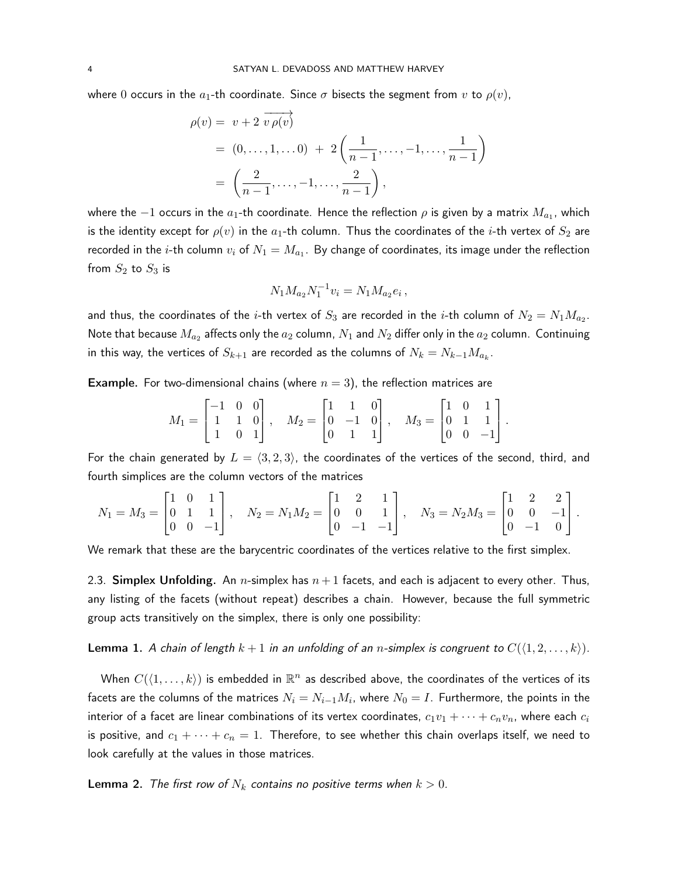where 0 occurs in the  $a_1$ -th coordinate. Since  $\sigma$  bisects the segment from v to  $\rho(v)$ ,

$$
\rho(v) = v + 2 \overrightarrow{v \rho(v)}
$$
  
= (0, ..., 1, ...0) + 2  $\left(\frac{1}{n-1}, \dots, -1, \dots, \frac{1}{n-1}\right)$   
=  $\left(\frac{2}{n-1}, \dots, -1, \dots, \frac{2}{n-1}\right)$ ,

where the  $-1$  occurs in the  $a_1$ -th coordinate. Hence the reflection  $\rho$  is given by a matrix  $M_{a_1}$ , which is the identity except for  $\rho(v)$  in the  $a_1$ -th column. Thus the coordinates of the *i*-th vertex of  $S_2$  are recorded in the  $i$ -th column  $v_i$  of  $N_1 = M_{a_1}.$  By change of coordinates, its image under the reflection from  $S_2$  to  $S_3$  is

$$
N_1 M_{a_2} N_1^{-1} v_i = N_1 M_{a_2} e_i ,
$$

and thus, the coordinates of the  $i$ -th vertex of  $S_3$  are recorded in the  $i$ -th column of  $N_2=N_1M_{a_2}.$ Note that because  $M_{a_2}$  affects only the  $a_2$  column,  $N_1$  and  $N_2$  differ only in the  $a_2$  column.  $\,$  Continuing in this way, the vertices of  $S_{k+1}$  are recorded as the columns of  $N_k = N_{k-1} M_{a_k}.$ 

**Example.** For two-dimensional chains (where  $n = 3$ ), the reflection matrices are

$$
M_1 = \begin{bmatrix} -1 & 0 & 0 \\ 1 & 1 & 0 \\ 1 & 0 & 1 \end{bmatrix}, \quad M_2 = \begin{bmatrix} 1 & 1 & 0 \\ 0 & -1 & 0 \\ 0 & 1 & 1 \end{bmatrix}, \quad M_3 = \begin{bmatrix} 1 & 0 & 1 \\ 0 & 1 & 1 \\ 0 & 0 & -1 \end{bmatrix}.
$$

For the chain generated by  $L = \langle 3, 2, 3 \rangle$ , the coordinates of the vertices of the second, third, and fourth simplices are the column vectors of the matrices

$$
N_1 = M_3 = \begin{bmatrix} 1 & 0 & 1 \\ 0 & 1 & 1 \\ 0 & 0 & -1 \end{bmatrix}, \quad N_2 = N_1 M_2 = \begin{bmatrix} 1 & 2 & 1 \\ 0 & 0 & 1 \\ 0 & -1 & -1 \end{bmatrix}, \quad N_3 = N_2 M_3 = \begin{bmatrix} 1 & 2 & 2 \\ 0 & 0 & -1 \\ 0 & -1 & 0 \end{bmatrix}.
$$

We remark that these are the barycentric coordinates of the vertices relative to the first simplex.

2.3. Simplex Unfolding. An *n*-simplex has  $n+1$  facets, and each is adjacent to every other. Thus, any listing of the facets (without repeat) describes a chain. However, because the full symmetric group acts transitively on the simplex, there is only one possibility:

<span id="page-3-0"></span>**Lemma 1.** A chain of length  $k + 1$  in an unfolding of an n-simplex is congruent to  $C(\langle 1, 2, \ldots, k \rangle)$ .

When  $C(\langle 1, \ldots, k \rangle)$  is embedded in  $\mathbb{R}^n$  as described above, the coordinates of the vertices of its facets are the columns of the matrices  $N_i=N_{i-1}M_i$ , where  $N_0=I$ . Furthermore, the points in the interior of a facet are linear combinations of its vertex coordinates,  $c_1v_1 + \cdots + c_nv_n$ , where each  $c_i$ is positive, and  $c_1 + \cdots + c_n = 1$ . Therefore, to see whether this chain overlaps itself, we need to look carefully at the values in those matrices.

<span id="page-3-1"></span>**Lemma 2.** The first row of  $N_k$  contains no positive terms when  $k > 0$ .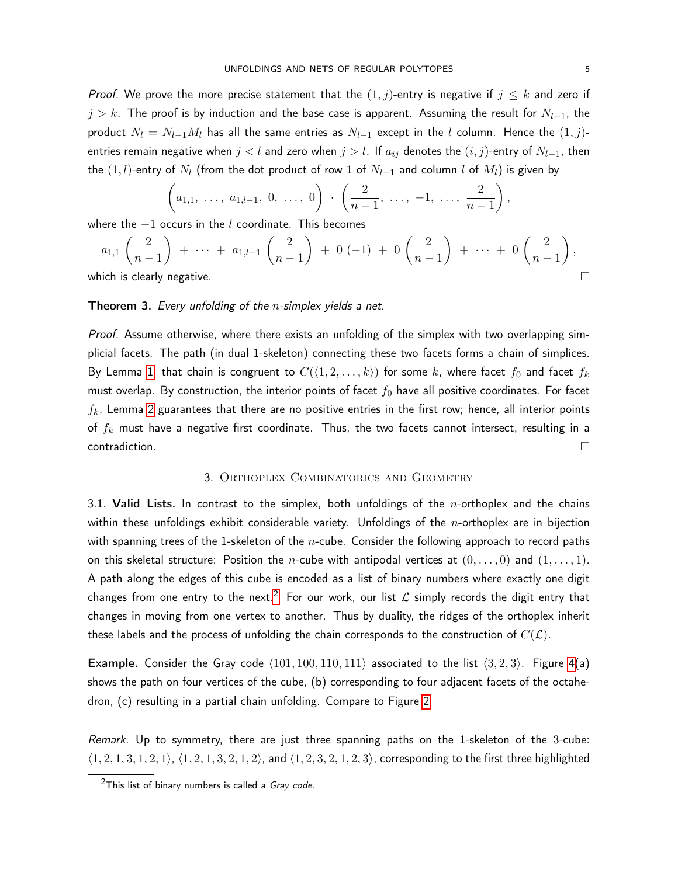*Proof.* We prove the more precise statement that the  $(1, j)$ -entry is negative if  $j \leq k$  and zero if  $j > k$ . The proof is by induction and the base case is apparent. Assuming the result for  $N_{l-1}$ , the product  $N_l = N_{l-1}M_l$  has all the same entries as  $N_{l-1}$  except in the l column. Hence the  $(1, j)$ entries remain negative when  $j < l$  and zero when  $j > l$ . If  $a_{ij}$  denotes the  $(i,j)$ -entry of  $N_{l-1}$ , then the  $(1, l)$ -entry of  $N_l$  (from the dot product of row 1 of  $N_{l-1}$  and column l of  $M_l$ ) is given by

$$
\left(a_{1,1}, \ldots, a_{1,l-1}, 0, \ldots, 0\right) \cdot \left(\frac{2}{n-1}, \ldots, -1, \ldots, \frac{2}{n-1}\right),
$$

where the  $-1$  occurs in the l coordinate. This becomes

$$
a_{1,1}\left(\frac{2}{n-1}\right) + \cdots + a_{1,l-1}\left(\frac{2}{n-1}\right) + 0(-1) + 0\left(\frac{2}{n-1}\right) + \cdots + 0\left(\frac{2}{n-1}\right),
$$
  
hich is clearly negative

which is clearly negative.

# **Theorem 3.** Every unfolding of the *n*-simplex yields a net.

Proof. Assume otherwise, where there exists an unfolding of the simplex with two overlapping simplicial facets. The path (in dual 1-skeleton) connecting these two facets forms a chain of simplices. By Lemma [1,](#page-3-0) that chain is congruent to  $C(\langle 1, 2, \ldots, k \rangle)$  for some k, where facet  $f_0$  and facet  $f_k$ must overlap. By construction, the interior points of facet  $f_0$  have all positive coordinates. For facet  $f_k$ , Lemma [2](#page-3-1) guarantees that there are no positive entries in the first row; hence, all interior points of  $f_k$  must have a negative first coordinate. Thus, the two facets cannot intersect, resulting in a  $\Box$ contradiction.

#### 3. Orthoplex Combinatorics and Geometry

<span id="page-4-0"></span>3.1. Valid Lists. In contrast to the simplex, both unfoldings of the *n*-orthoplex and the chains within these unfoldings exhibit considerable variety. Unfoldings of the *n*-orthoplex are in bijection with spanning trees of the 1-skeleton of the  $n$ -cube. Consider the following approach to record paths on this skeletal structure: Position the *n*-cube with antipodal vertices at  $(0, \ldots, 0)$  and  $(1, \ldots, 1)$ . A path along the edges of this cube is encoded as a list of binary numbers where exactly one digit changes from one entry to the next.<sup>[2](#page-4-1)</sup> For our work, our list  $\mathcal L$  simply records the digit entry that changes in moving from one vertex to another. Thus by duality, the ridges of the orthoplex inherit these labels and the process of unfolding the chain corresponds to the construction of  $C(\mathcal{L})$ .

**Example.** Consider the Gray code  $\langle 101, 100, 110, 111 \rangle$  associated to the list  $\langle 3, 2, 3 \rangle$ . Figure [4\(](#page-5-0)a) shows the path on four vertices of the cube, (b) corresponding to four adjacent facets of the octahedron, (c) resulting in a partial chain unfolding. Compare to Figure [2.](#page-2-0)

Remark. Up to symmetry, there are just three spanning paths on the 1-skeleton of the 3-cube:  $\langle 1, 2, 1, 3, 1, 2, 1 \rangle$ ,  $\langle 1, 2, 1, 3, 2, 1, 2 \rangle$ , and  $\langle 1, 2, 3, 2, 1, 2, 3 \rangle$ , corresponding to the first three highlighted

<span id="page-4-1"></span> $2$ This list of binary numbers is called a Gray code.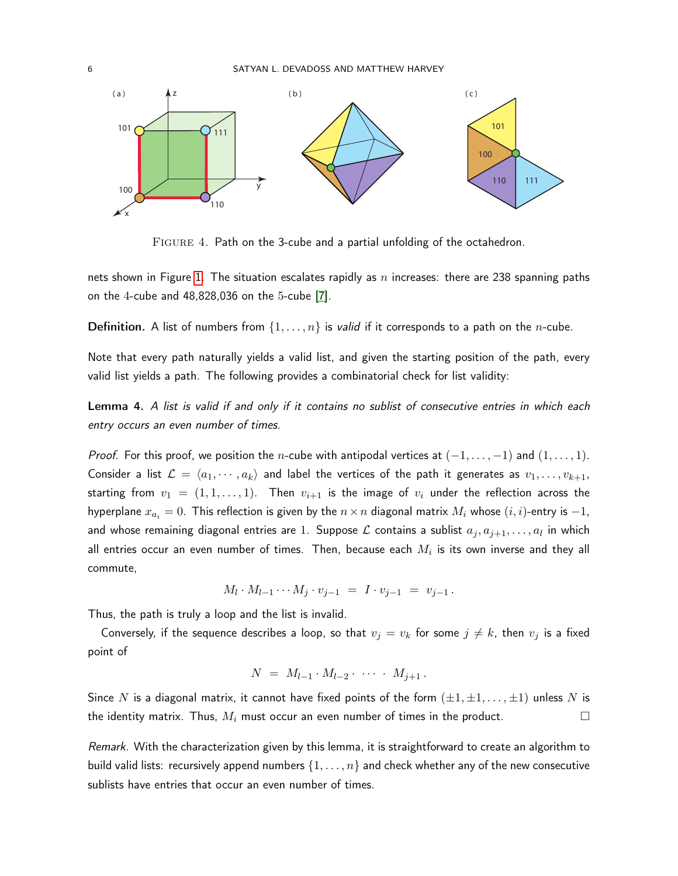

<span id="page-5-0"></span>Figure 4. Path on the 3-cube and a partial unfolding of the octahedron.

nets shown in Figure [1.](#page-1-0) The situation escalates rapidly as n increases: there are 238 spanning paths on the 4-cube and 48,828,036 on the 5-cube [\[7\]](#page-10-7).

**Definition.** A list of numbers from  $\{1, \ldots, n\}$  is *valid* if it corresponds to a path on the *n*-cube.

Note that every path naturally yields a valid list, and given the starting position of the path, every valid list yields a path. The following provides a combinatorial check for list validity:

<span id="page-5-1"></span>Lemma 4. A list is valid if and only if it contains no sublist of consecutive entries in which each entry occurs an even number of times.

*Proof.* For this proof, we position the *n*-cube with antipodal vertices at  $(-1, \ldots, -1)$  and  $(1, \ldots, 1)$ . Consider a list  $\mathcal{L} = \langle a_1, \cdots, a_k \rangle$  and label the vertices of the path it generates as  $v_1, \ldots, v_{k+1}$ , starting from  $v_1 = (1, 1, \ldots, 1)$ . Then  $v_{i+1}$  is the image of  $v_i$  under the reflection across the hyperplane  $x_{a_i} = 0$ . This reflection is given by the  $n \times n$  diagonal matrix  $M_i$  whose  $(i, i)$ -entry is  $-1$ , and whose remaining diagonal entries are  $1.$  Suppose  ${\cal L}$  contains a sublist  $a_j, a_{j+1}, \ldots, a_l$  in which all entries occur an even number of times. Then, because each  $M_i$  is its own inverse and they all commute,

$$
M_l \cdot M_{l-1} \cdots M_j \cdot v_{j-1} = I \cdot v_{j-1} = v_{j-1}.
$$

Thus, the path is truly a loop and the list is invalid.

Conversely, if the sequence describes a loop, so that  $v_j = v_k$  for some  $j \neq k$ , then  $v_j$  is a fixed point of

$$
N = M_{l-1} \cdot M_{l-2} \cdot \cdots \cdot M_{j+1}.
$$

Since N is a diagonal matrix, it cannot have fixed points of the form  $(\pm 1, \pm 1, \dots, \pm 1)$  unless N is the identity matrix. Thus,  $M_i$  must occur an even number of times in the product.  $\hfill\Box$ 

Remark. With the characterization given by this lemma, it is straightforward to create an algorithm to build valid lists: recursively append numbers  $\{1, \ldots, n\}$  and check whether any of the new consecutive sublists have entries that occur an even number of times.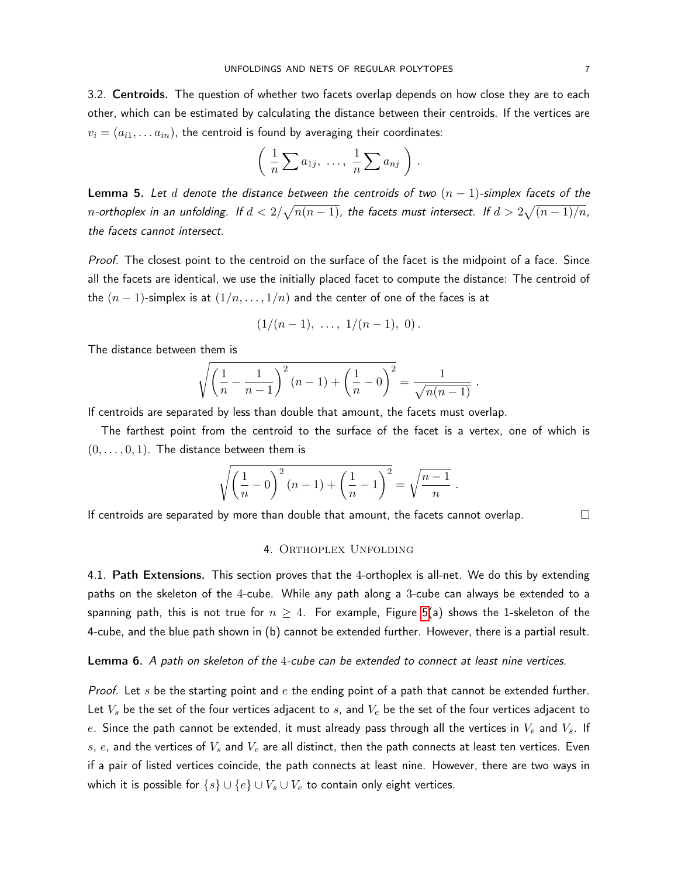3.2. Centroids. The question of whether two facets overlap depends on how close they are to each other, which can be estimated by calculating the distance between their centroids. If the vertices are  $v_i = (a_{i1}, \ldots a_{in})$ , the centroid is found by averaging their coordinates:

$$
\left(\frac{1}{n}\sum a_{1j},\ \ldots,\ \frac{1}{n}\sum a_{nj}\right).
$$

<span id="page-6-2"></span>Lemma 5. Let d denote the distance between the centroids of two  $(n - 1)$ -simplex facets of the  $n$ -orthoplex in an unfolding. If  $d < 2/\sqrt{n(n-1)}$ , the facets must intersect. If  $d > 2\sqrt{(n-1)/n}$ , the facets cannot intersect.

Proof. The closest point to the centroid on the surface of the facet is the midpoint of a face. Since all the facets are identical, we use the initially placed facet to compute the distance: The centroid of the  $(n-1)$ -simplex is at  $(1/n, \ldots, 1/n)$  and the center of one of the faces is at

$$
(1/(n-1), \ldots, 1/(n-1), 0).
$$

The distance between them is

$$
\sqrt{\left(\frac{1}{n} - \frac{1}{n-1}\right)^2 (n-1) + \left(\frac{1}{n} - 0\right)^2} = \frac{1}{\sqrt{n(n-1)}}.
$$

If centroids are separated by less than double that amount, the facets must overlap.

The farthest point from the centroid to the surface of the facet is a vertex, one of which is  $(0, \ldots, 0, 1)$ . The distance between them is

$$
\sqrt{\left(\frac{1}{n} - 0\right)^2 (n-1) + \left(\frac{1}{n} - 1\right)^2} = \sqrt{\frac{n-1}{n}}.
$$

<span id="page-6-0"></span>If centroids are separated by more than double that amount, the facets cannot overlap.  $\Box$ 

#### 4. Orthoplex Unfolding

4.1. Path Extensions. This section proves that the 4-orthoplex is all-net. We do this by extending paths on the skeleton of the 4-cube. While any path along a 3-cube can always be extended to a spanning path, this is not true for  $n \geq 4$ . For example, Figure [5\(](#page-7-0)a) shows the 1-skeleton of the 4-cube, and the blue path shown in (b) cannot be extended further. However, there is a partial result.

## <span id="page-6-1"></span>Lemma 6. A path on skeleton of the 4-cube can be extended to connect at least nine vertices.

*Proof.* Let s be the starting point and  $e$  the ending point of a path that cannot be extended further. Let  $V_s$  be the set of the four vertices adjacent to  $s$ , and  $V_e$  be the set of the four vertices adjacent to  $e.$  Since the path cannot be extended, it must already pass through all the vertices in  $V_e$  and  $V_s.$  If  $s,\,e$ , and the vertices of  $V_s$  and  $V_e$  are all distinct, then the path connects at least ten vertices. Even if a pair of listed vertices coincide, the path connects at least nine. However, there are two ways in which it is possible for  $\{s\} \cup \{e\} \cup V_s \cup V_e$  to contain only eight vertices.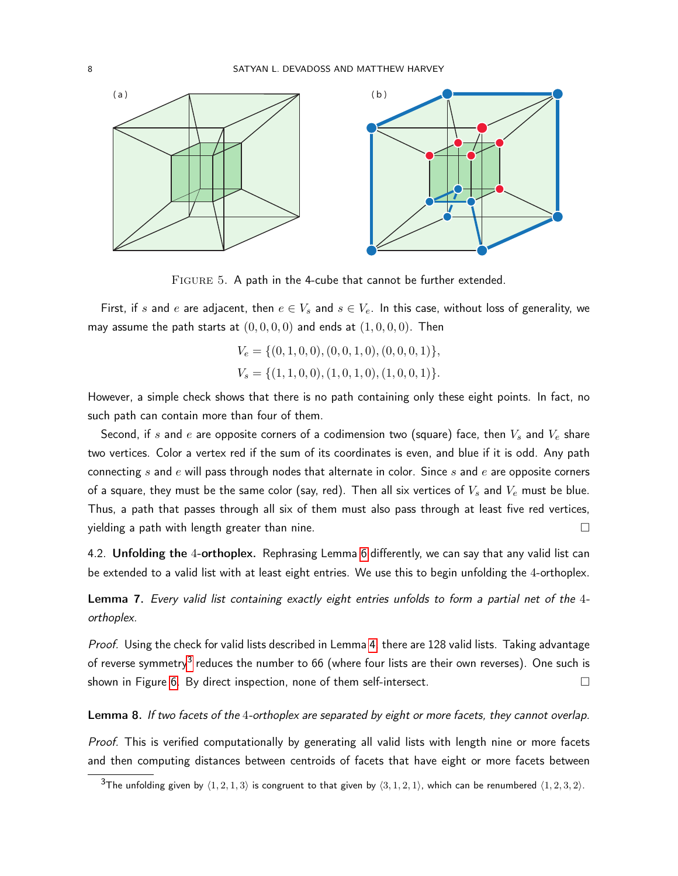

<span id="page-7-0"></span>FIGURE 5. A path in the 4-cube that cannot be further extended.

First, if s and e are adjacent, then  $e \in V_s$  and  $s \in V_e$ . In this case, without loss of generality, we may assume the path starts at  $(0, 0, 0, 0)$  and ends at  $(1, 0, 0, 0)$ . Then

$$
V_e = \{(0, 1, 0, 0), (0, 0, 1, 0), (0, 0, 0, 1)\},\
$$
  

$$
V_s = \{(1, 1, 0, 0), (1, 0, 1, 0), (1, 0, 0, 1)\}.
$$

However, a simple check shows that there is no path containing only these eight points. In fact, no such path can contain more than four of them.

Second, if s and e are opposite corners of a codimension two (square) face, then  $V_s$  and  $V_e$  share two vertices. Color a vertex red if the sum of its coordinates is even, and blue if it is odd. Any path connecting s and e will pass through nodes that alternate in color. Since s and e are opposite corners of a square, they must be the same color (say, red). Then all six vertices of  $V_s$  and  $V_e$  must be blue. Thus, a path that passes through all six of them must also pass through at least five red vertices,  $y$ ielding a path with length greater than nine.

4.2. Unfolding the 4-orthoplex. Rephrasing Lemma [6](#page-6-1) differently, we can say that any valid list can be extended to a valid list with at least eight entries. We use this to begin unfolding the 4-orthoplex.

<span id="page-7-3"></span>Lemma 7. Every valid list containing exactly eight entries unfolds to form a partial net of the 4 orthoplex.

Proof. Using the check for valid lists described in Lemma [4,](#page-5-1) there are 128 valid lists. Taking advantage of reverse symmetry<sup>[3](#page-7-1)</sup> reduces the number to 66 (where four lists are their own reverses). One such is shown in Figure [6.](#page-8-0) By direct inspection, none of them self-intersect.

<span id="page-7-2"></span>Lemma 8. If two facets of the 4-orthoplex are separated by eight or more facets, they cannot overlap.

Proof. This is verified computationally by generating all valid lists with length nine or more facets and then computing distances between centroids of facets that have eight or more facets between

<span id="page-7-1"></span><sup>&</sup>lt;sup>3</sup>The unfolding given by  $\langle 1, 2, 1, 3 \rangle$  is congruent to that given by  $\langle 3, 1, 2, 1 \rangle$ , which can be renumbered  $\langle 1, 2, 3, 2 \rangle$ .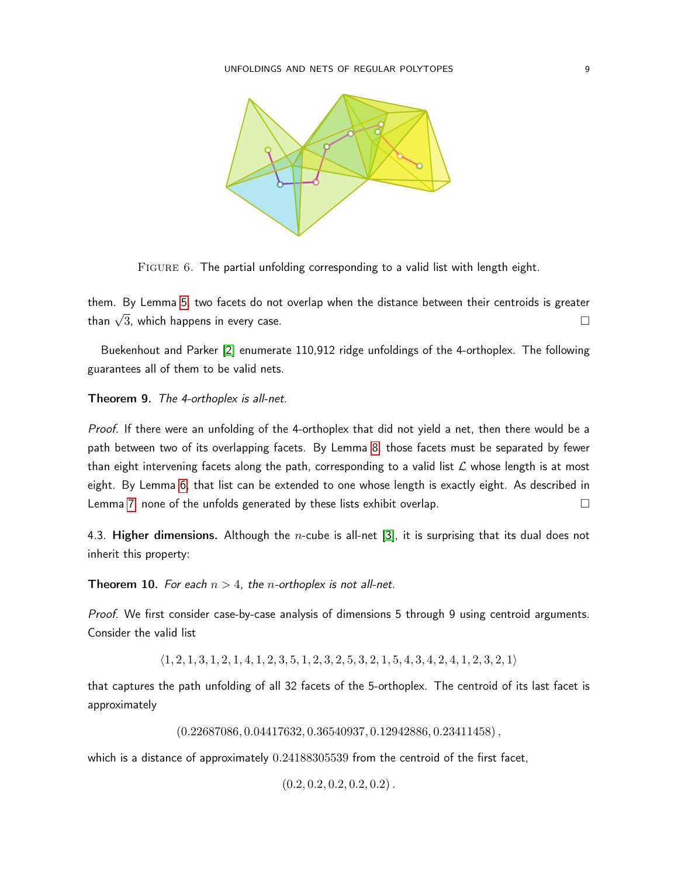

FIGURE 6. The partial unfolding corresponding to a valid list with length eight.

<span id="page-8-0"></span>them. By Lemma [5,](#page-6-2) two facets do not overlap when the distance between their centroids is greater than  $\sqrt{3}$ , which happens in every case.

Buekenhout and Parker [\[2\]](#page-10-2) enumerate 110,912 ridge unfoldings of the 4-orthoplex. The following guarantees all of them to be valid nets.

## Theorem 9. The 4-orthoplex is all-net.

Proof. If there were an unfolding of the 4-orthoplex that did not yield a net, then there would be a path between two of its overlapping facets. By Lemma [8,](#page-7-2) those facets must be separated by fewer than eight intervening facets along the path, corresponding to a valid list  $\mathcal L$  whose length is at most eight. By Lemma [6,](#page-6-1) that list can be extended to one whose length is exactly eight. As described in Lemma [7,](#page-7-3) none of the unfolds generated by these lists exhibit overlap.

4.3. Higher dimensions. Although the *n*-cube is all-net [\[3\]](#page-10-5), it is surprising that its dual does not inherit this property:

**Theorem 10.** For each  $n > 4$ , the *n*-orthoplex is not all-net.

Proof. We first consider case-by-case analysis of dimensions 5 through 9 using centroid arguments. Consider the valid list

 $\langle 1, 2, 1, 3, 1, 2, 1, 4, 1, 2, 3, 5, 1, 2, 3, 2, 5, 3, 2, 1, 5, 4, 3, 4, 2, 4, 1, 2, 3, 2, 1 \rangle$ 

that captures the path unfolding of all 32 facets of the 5-orthoplex. The centroid of its last facet is approximately

 $(0.22687086, 0.04417632, 0.36540937, 0.12942886, 0.23411458),$ 

which is a distance of approximately  $0.24188305539$  from the centroid of the first facet,

 $(0.2, 0.2, 0.2, 0.2, 0.2)$ .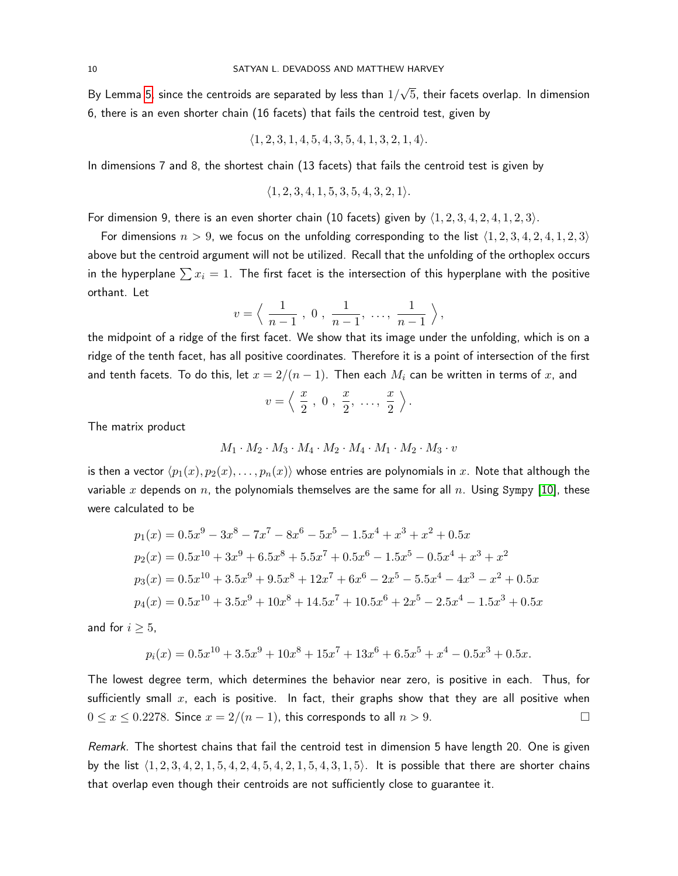By Lemma [5,](#page-6-2) since the centroids are separated by less than  $1/\sqrt{2}$ √ 5, their facets overlap. In dimension 6, there is an even shorter chain (16 facets) that fails the centroid test, given by

$$
\langle 1, 2, 3, 1, 4, 5, 4, 3, 5, 4, 1, 3, 2, 1, 4 \rangle.
$$

In dimensions 7 and 8, the shortest chain (13 facets) that fails the centroid test is given by

$$
\langle 1, 2, 3, 4, 1, 5, 3, 5, 4, 3, 2, 1 \rangle.
$$

For dimension 9, there is an even shorter chain (10 facets) given by  $\langle 1, 2, 3, 4, 2, 4, 1, 2, 3 \rangle$ .

For dimensions  $n > 9$ , we focus on the unfolding corresponding to the list  $\langle 1, 2, 3, 4, 2, 4, 1, 2, 3 \rangle$ above but the centroid argument will not be utilized. Recall that the unfolding of the orthoplex occurs in the hyperplane  $\sum x_i = 1$ . The first facet is the intersection of this hyperplane with the positive orthant. Let

$$
v = \left\langle \frac{1}{n-1}, 0, \frac{1}{n-1}, \dots, \frac{1}{n-1} \right\rangle
$$

the midpoint of a ridge of the first facet. We show that its image under the unfolding, which is on a ridge of the tenth facet, has all positive coordinates. Therefore it is a point of intersection of the first and tenth facets. To do this, let  $x = 2/(n-1)$ . Then each  $M_i$  can be written in terms of x, and

$$
v = \left\langle \frac{x}{2}, 0, \frac{x}{2}, \ldots, \frac{x}{2} \right\rangle.
$$

The matrix product

$$
M_1 \cdot M_2 \cdot M_3 \cdot M_4 \cdot M_2 \cdot M_4 \cdot M_1 \cdot M_2 \cdot M_3 \cdot v
$$

is then a vector  $\langle p_1(x), p_2(x), \ldots, p_n(x)\rangle$  whose entries are polynomials in x. Note that although the variable x depends on n, the polynomials themselves are the same for all n. Using Sympy [\[10\]](#page-11-2), these were calculated to be

$$
p_1(x) = 0.5x^9 - 3x^8 - 7x^7 - 8x^6 - 5x^5 - 1.5x^4 + x^3 + x^2 + 0.5x
$$
  
\n
$$
p_2(x) = 0.5x^{10} + 3x^9 + 6.5x^8 + 5.5x^7 + 0.5x^6 - 1.5x^5 - 0.5x^4 + x^3 + x^2
$$
  
\n
$$
p_3(x) = 0.5x^{10} + 3.5x^9 + 9.5x^8 + 12x^7 + 6x^6 - 2x^5 - 5.5x^4 - 4x^3 - x^2 + 0.5x
$$
  
\n
$$
p_4(x) = 0.5x^{10} + 3.5x^9 + 10x^8 + 14.5x^7 + 10.5x^6 + 2x^5 - 2.5x^4 - 1.5x^3 + 0.5x
$$

and for  $i \geq 5$ ,

$$
p_i(x) = 0.5x^{10} + 3.5x^9 + 10x^8 + 15x^7 + 13x^6 + 6.5x^5 + x^4 - 0.5x^3 + 0.5x.
$$

The lowest degree term, which determines the behavior near zero, is positive in each. Thus, for sufficiently small  $x$ , each is positive. In fact, their graphs show that they are all positive when  $0 \le x \le 0.2278$ . Since  $x = 2/(n-1)$ , this corresponds to all  $n > 9$ .

Remark. The shortest chains that fail the centroid test in dimension 5 have length 20. One is given by the list  $\{1, 2, 3, 4, 2, 1, 5, 4, 2, 4, 5, 4, 2, 1, 5, 4, 3, 1, 5\}$ . It is possible that there are shorter chains that overlap even though their centroids are not sufficiently close to guarantee it.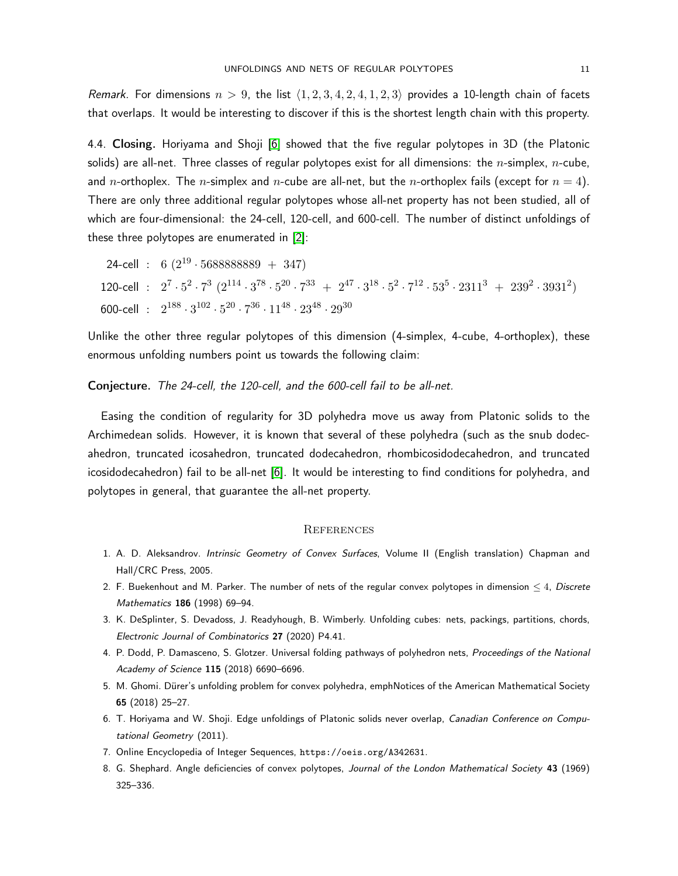Remark. For dimensions  $n > 9$ , the list  $\langle 1, 2, 3, 4, 2, 4, 1, 2, 3 \rangle$  provides a 10-length chain of facets that overlaps. It would be interesting to discover if this is the shortest length chain with this property.

4.4. Closing. Horiyama and Shoji [\[6\]](#page-10-3) showed that the five regular polytopes in 3D (the Platonic solids) are all-net. Three classes of regular polytopes exist for all dimensions: the *n*-simplex, *n*-cube, and *n*-orthoplex. The *n*-simplex and *n*-cube are all-net, but the *n*-orthoplex fails (except for  $n = 4$ ). There are only three additional regular polytopes whose all-net property has not been studied, all of which are four-dimensional: the 24-cell, 120-cell, and 600-cell. The number of distinct unfoldings of these three polytopes are enumerated in [\[2\]](#page-10-2):

24-cell : 6  $(2^{19} \cdot 5688888889 + 347)$ 120-cell :  $2^7 \cdot 5^2 \cdot 7^3 \cdot (2^{114} \cdot 3^{78} \cdot 5^{20} \cdot 7^{33} + 2^{47} \cdot 3^{18} \cdot 5^2 \cdot 7^{12} \cdot 53^5 \cdot 2311^3 + 239^2 \cdot 3931^2)$ 600-cell :  $2^{188} \cdot 3^{102} \cdot 5^{20} \cdot 7^{36} \cdot 11^{48} \cdot 23^{48} \cdot 29^{30}$ 

Unlike the other three regular polytopes of this dimension (4-simplex, 4-cube, 4-orthoplex), these enormous unfolding numbers point us towards the following claim:

Conjecture. The 24-cell, the 120-cell, and the 600-cell fail to be all-net.

Easing the condition of regularity for 3D polyhedra move us away from Platonic solids to the Archimedean solids. However, it is known that several of these polyhedra (such as the snub dodecahedron, truncated icosahedron, truncated dodecahedron, rhombicosidodecahedron, and truncated icosidodecahedron) fail to be all-net [\[6\]](#page-10-3). It would be interesting to find conditions for polyhedra, and polytopes in general, that guarantee the all-net property.

### **REFERENCES**

- <span id="page-10-1"></span>1. A. D. Aleksandrov. Intrinsic Geometry of Convex Surfaces, Volume II (English translation) Chapman and Hall/CRC Press, 2005.
- <span id="page-10-2"></span>2. F. Buekenhout and M. Parker. The number of nets of the regular convex polytopes in dimension  $\leq 4$ , Discrete Mathematics 186 (1998) 69–94.
- <span id="page-10-5"></span>3. K. DeSplinter, S. Devadoss, J. Readyhough, B. Wimberly. Unfolding cubes: nets, packings, partitions, chords, Electronic Journal of Combinatorics 27 (2020) P4.41.
- <span id="page-10-4"></span>4. P. Dodd, P. Damasceno, S. Glotzer. Universal folding pathways of polyhedron nets, Proceedings of the National Academy of Science 115 (2018) 6690–6696.
- <span id="page-10-0"></span>5. M. Ghomi. Dürer's unfolding problem for convex polyhedra, emphNotices of the American Mathematical Society 65 (2018) 25–27.
- <span id="page-10-3"></span>6. T. Horiyama and W. Shoji. Edge unfoldings of Platonic solids never overlap, Canadian Conference on Computational Geometry (2011).
- <span id="page-10-7"></span>7. Online Encyclopedia of Integer Sequences, https://oeis.org/A342631.
- <span id="page-10-6"></span>8. G. Shephard. Angle deficiencies of convex polytopes, Journal of the London Mathematical Society 43 (1969) 325–336.